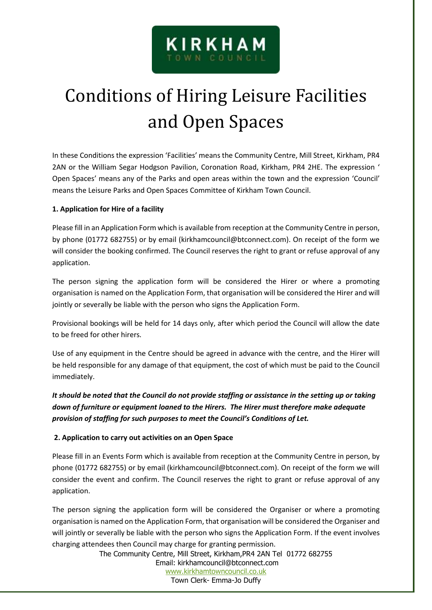

# Conditions of Hiring Leisure Facilities and Open Spaces

In these Conditions the expression 'Facilities' means the Community Centre, Mill Street, Kirkham, PR4 2AN or the William Segar Hodgson Pavilion, Coronation Road, Kirkham, PR4 2HE. The expression ' Open Spaces' means any of the Parks and open areas within the town and the expression 'Council' means the Leisure Parks and Open Spaces Committee of Kirkham Town Council.

# **1. Application for Hire of a facility**

Please fill in an Application Form which is available from reception at the Community Centre in person, by phone (01772 682755) or by email (kirkhamcouncil@btconnect.com). On receipt of the form we will consider the booking confirmed. The Council reserves the right to grant or refuse approval of any application.

The person signing the application form will be considered the Hirer or where a promoting organisation is named on the Application Form, that organisation will be considered the Hirer and will jointly or severally be liable with the person who signs the Application Form.

Provisional bookings will be held for 14 days only, after which period the Council will allow the date to be freed for other hirers.

Use of any equipment in the Centre should be agreed in advance with the centre, and the Hirer will be held responsible for any damage of that equipment, the cost of which must be paid to the Council immediately.

*It should be noted that the Council do not provide staffing or assistance in the setting up or taking down of furniture or equipment loaned to the Hirers. The Hirer must therefore make adequate provision of staffing for such purposes to meet the Council's Conditions of Let.*

# **2. Application to carry out activities on an Open Space**

Please fill in an Events Form which is available from reception at the Community Centre in person, by phone (01772 682755) or by email (kirkhamcouncil@btconnect.com). On receipt of the form we will consider the event and confirm. The Council reserves the right to grant or refuse approval of any application.

The person signing the application form will be considered the Organiser or where a promoting organisation is named on the Application Form, that organisation will be considered the Organiser and will jointly or severally be liable with the person who signs the Application Form. If the event involves charging attendees then Council may charge for granting permission.

The Community Centre, Mill Street, Kirkham,PR4 2AN Tel 01772 682755

Email: kirkhamcouncil@btconnect.com [www.kirkhamtowncouncil.co.uk](http://www.kirkhamtowncouncil.co.uk/) Town Clerk- Emma-Jo Duffy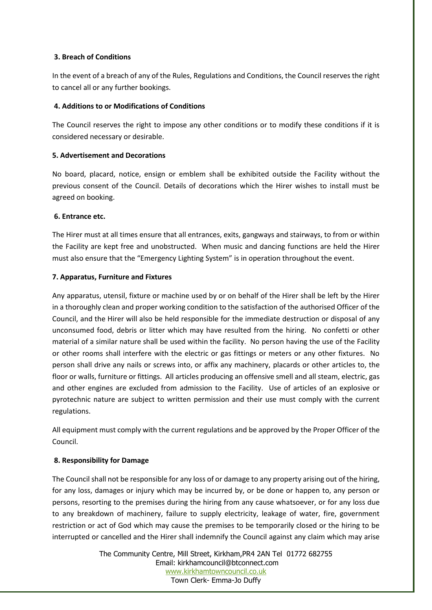#### **3. Breach of Conditions**

In the event of a breach of any of the Rules, Regulations and Conditions, the Council reserves the right to cancel all or any further bookings.

#### **4. Additions to or Modifications of Conditions**

The Council reserves the right to impose any other conditions or to modify these conditions if it is considered necessary or desirable.

#### **5. Advertisement and Decorations**

No board, placard, notice, ensign or emblem shall be exhibited outside the Facility without the previous consent of the Council. Details of decorations which the Hirer wishes to install must be agreed on booking.

#### **6. Entrance etc.**

The Hirer must at all times ensure that all entrances, exits, gangways and stairways, to from or within the Facility are kept free and unobstructed. When music and dancing functions are held the Hirer must also ensure that the "Emergency Lighting System" is in operation throughout the event.

#### **7. Apparatus, Furniture and Fixtures**

Any apparatus, utensil, fixture or machine used by or on behalf of the Hirer shall be left by the Hirer in a thoroughly clean and proper working condition to the satisfaction of the authorised Officer of the Council, and the Hirer will also be held responsible for the immediate destruction or disposal of any unconsumed food, debris or litter which may have resulted from the hiring. No confetti or other material of a similar nature shall be used within the facility. No person having the use of the Facility or other rooms shall interfere with the electric or gas fittings or meters or any other fixtures. No person shall drive any nails or screws into, or affix any machinery, placards or other articles to, the floor or walls, furniture or fittings. All articles producing an offensive smell and all steam, electric, gas and other engines are excluded from admission to the Facility. Use of articles of an explosive or pyrotechnic nature are subject to written permission and their use must comply with the current regulations.

All equipment must comply with the current regulations and be approved by the Proper Officer of the Council.

## **8. Responsibility for Damage**

The Council shall not be responsible for any loss of or damage to any property arising out of the hiring, for any loss, damages or injury which may be incurred by, or be done or happen to, any person or persons, resorting to the premises during the hiring from any cause whatsoever, or for any loss due to any breakdown of machinery, failure to supply electricity, leakage of water, fire, government restriction or act of God which may cause the premises to be temporarily closed or the hiring to be interrupted or cancelled and the Hirer shall indemnify the Council against any claim which may arise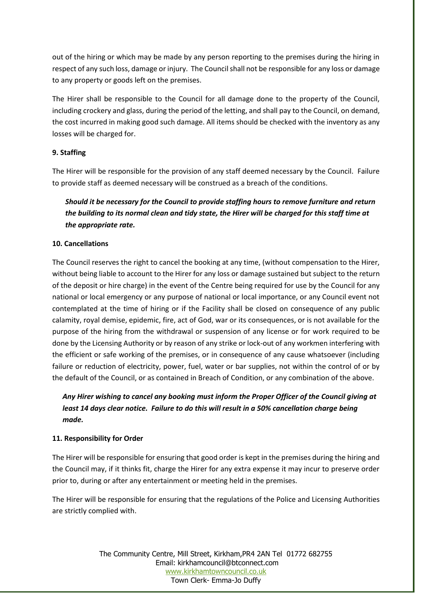out of the hiring or which may be made by any person reporting to the premises during the hiring in respect of any such loss, damage or injury. The Council shall not be responsible for any loss or damage to any property or goods left on the premises.

The Hirer shall be responsible to the Council for all damage done to the property of the Council, including crockery and glass, during the period of the letting, and shall pay to the Council, on demand, the cost incurred in making good such damage. All items should be checked with the inventory as any losses will be charged for.

# **9. Staffing**

The Hirer will be responsible for the provision of any staff deemed necessary by the Council. Failure to provide staff as deemed necessary will be construed as a breach of the conditions.

*Should it be necessary for the Council to provide staffing hours to remove furniture and return the building to its normal clean and tidy state, the Hirer will be charged for this staff time at the appropriate rate.*

# **10. Cancellations**

The Council reserves the right to cancel the booking at any time, (without compensation to the Hirer, without being liable to account to the Hirer for any loss or damage sustained but subject to the return of the deposit or hire charge) in the event of the Centre being required for use by the Council for any national or local emergency or any purpose of national or local importance, or any Council event not contemplated at the time of hiring or if the Facility shall be closed on consequence of any public calamity, royal demise, epidemic, fire, act of God, war or its consequences, or is not available for the purpose of the hiring from the withdrawal or suspension of any license or for work required to be done by the Licensing Authority or by reason of any strike or lock-out of any workmen interfering with the efficient or safe working of the premises, or in consequence of any cause whatsoever (including failure or reduction of electricity, power, fuel, water or bar supplies, not within the control of or by the default of the Council, or as contained in Breach of Condition, or any combination of the above.

*Any Hirer wishing to cancel any booking must inform the Proper Officer of the Council giving at least 14 days clear notice. Failure to do this will result in a 50% cancellation charge being made.*

# **11. Responsibility for Order**

The Hirer will be responsible for ensuring that good order is kept in the premises during the hiring and the Council may, if it thinks fit, charge the Hirer for any extra expense it may incur to preserve order prior to, during or after any entertainment or meeting held in the premises.

The Hirer will be responsible for ensuring that the regulations of the Police and Licensing Authorities are strictly complied with.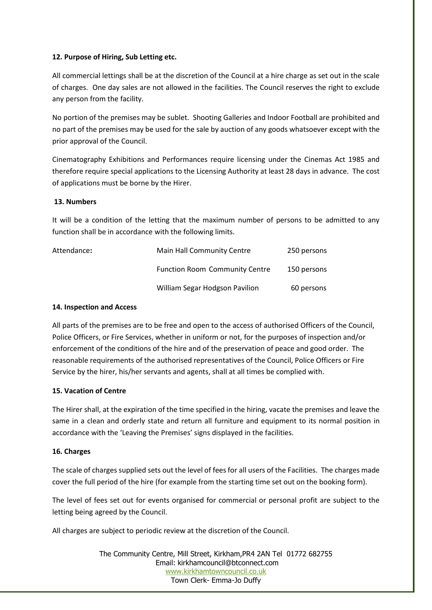# **12. Purpose of Hiring, Sub Letting etc.**

All commercial lettings shall be at the discretion of the Council at a hire charge as set out in the scale of charges. One day sales are not allowed in the facilities. The Council reserves the right to exclude any person from the facility.

No portion of the premises may be sublet. Shooting Galleries and Indoor Football are prohibited and no part of the premises may be used for the sale by auction of any goods whatsoever except with the prior approval of the Council.

Cinematography Exhibitions and Performances require licensing under the Cinemas Act 1985 and therefore require special applications to the Licensing Authority at least 28 days in advance. The cost of applications must be borne by the Hirer.

#### **13. Numbers**

It will be a condition of the letting that the maximum number of persons to be admitted to any function shall be in accordance with the following limits.

| Attendance: | Main Hall Community Centre            | 250 persons |
|-------------|---------------------------------------|-------------|
|             | <b>Function Room Community Centre</b> | 150 persons |
|             | William Segar Hodgson Pavilion        | 60 persons  |

#### **14. Inspection and Access**

All parts of the premises are to be free and open to the access of authorised Officers of the Council, Police Officers, or Fire Services, whether in uniform or not, for the purposes of inspection and/or enforcement of the conditions of the hire and of the preservation of peace and good order. The reasonable requirements of the authorised representatives of the Council, Police Officers or Fire Service by the hirer, his/her servants and agents, shall at all times be complied with.

## **15. Vacation of Centre**

The Hirer shall, at the expiration of the time specified in the hiring, vacate the premises and leave the same in a clean and orderly state and return all furniture and equipment to its normal position in accordance with the 'Leaving the Premises' signs displayed in the facilities.

## **16. Charges**

The scale of charges supplied sets out the level of fees for all users of the Facilities. The charges made cover the full period of the hire (for example from the starting time set out on the booking form).

The level of fees set out for events organised for commercial or personal profit are subject to the letting being agreed by the Council.

All charges are subject to periodic review at the discretion of the Council.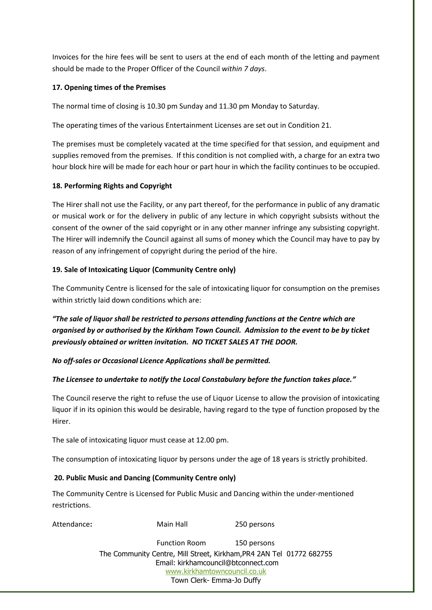Invoices for the hire fees will be sent to users at the end of each month of the letting and payment should be made to the Proper Officer of the Council *within 7 days*.

# **17. Opening times of the Premises**

The normal time of closing is 10.30 pm Sunday and 11.30 pm Monday to Saturday.

The operating times of the various Entertainment Licenses are set out in Condition 21.

The premises must be completely vacated at the time specified for that session, and equipment and supplies removed from the premises. If this condition is not complied with, a charge for an extra two hour block hire will be made for each hour or part hour in which the facility continues to be occupied.

## **18. Performing Rights and Copyright**

The Hirer shall not use the Facility, or any part thereof, for the performance in public of any dramatic or musical work or for the delivery in public of any lecture in which copyright subsists without the consent of the owner of the said copyright or in any other manner infringe any subsisting copyright. The Hirer will indemnify the Council against all sums of money which the Council may have to pay by reason of any infringement of copyright during the period of the hire.

# **19. Sale of Intoxicating Liquor (Community Centre only)**

The Community Centre is licensed for the sale of intoxicating liquor for consumption on the premises within strictly laid down conditions which are:

# *"The sale of liquor shall be restricted to persons attending functions at the Centre which are organised by or authorised by the Kirkham Town Council. Admission to the event to be by ticket previously obtained or written invitation. NO TICKET SALES AT THE DOOR.*

## *No off-sales or Occasional Licence Applications shall be permitted.*

## *The Licensee to undertake to notify the Local Constabulary before the function takes place."*

The Council reserve the right to refuse the use of Liquor License to allow the provision of intoxicating liquor if in its opinion this would be desirable, having regard to the type of function proposed by the Hirer.

The sale of intoxicating liquor must cease at 12.00 pm.

The consumption of intoxicating liquor by persons under the age of 18 years is strictly prohibited.

## **20. Public Music and Dancing (Community Centre only)**

The Community Centre is Licensed for Public Music and Dancing within the under-mentioned restrictions.

Main Hall 250 persons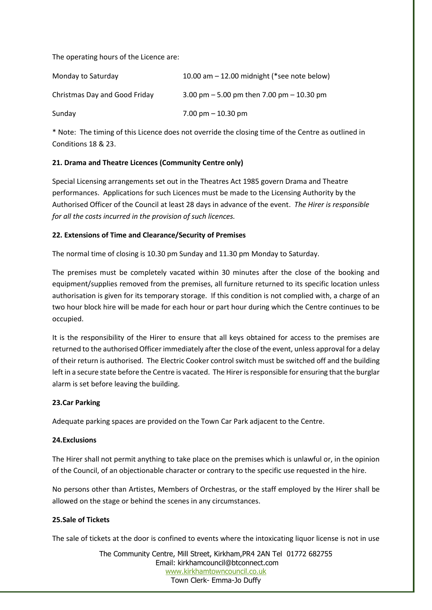The operating hours of the Licence are:

| Monday to Saturday            | 10.00 am $-$ 12.00 midnight (*see note below) |
|-------------------------------|-----------------------------------------------|
| Christmas Day and Good Friday | 3.00 pm $-$ 5.00 pm then 7.00 pm $-$ 10.30 pm |
| Sunday                        | $7.00 \text{ pm} - 10.30 \text{ pm}$          |

\* Note: The timing of this Licence does not override the closing time of the Centre as outlined in Conditions 18 & 23.

## **21. Drama and Theatre Licences (Community Centre only)**

Special Licensing arrangements set out in the Theatres Act 1985 govern Drama and Theatre performances. Applications for such Licences must be made to the Licensing Authority by the Authorised Officer of the Council at least 28 days in advance of the event. *The Hirer is responsible for all the costs incurred in the provision of such licences.*

#### **22. Extensions of Time and Clearance/Security of Premises**

The normal time of closing is 10.30 pm Sunday and 11.30 pm Monday to Saturday.

The premises must be completely vacated within 30 minutes after the close of the booking and equipment/supplies removed from the premises, all furniture returned to its specific location unless authorisation is given for its temporary storage. If this condition is not complied with, a charge of an two hour block hire will be made for each hour or part hour during which the Centre continues to be occupied.

It is the responsibility of the Hirer to ensure that all keys obtained for access to the premises are returned to the authorised Officer immediately after the close of the event, unless approval for a delay of their return is authorised. The Electric Cooker control switch must be switched off and the building left in a secure state before the Centre is vacated. The Hirer is responsible for ensuring that the burglar alarm is set before leaving the building.

#### **23.Car Parking**

Adequate parking spaces are provided on the Town Car Park adjacent to the Centre.

#### **24.Exclusions**

The Hirer shall not permit anything to take place on the premises which is unlawful or, in the opinion of the Council, of an objectionable character or contrary to the specific use requested in the hire.

No persons other than Artistes, Members of Orchestras, or the staff employed by the Hirer shall be allowed on the stage or behind the scenes in any circumstances.

#### **25.Sale of Tickets**

The sale of tickets at the door is confined to events where the intoxicating liquor license is not in use